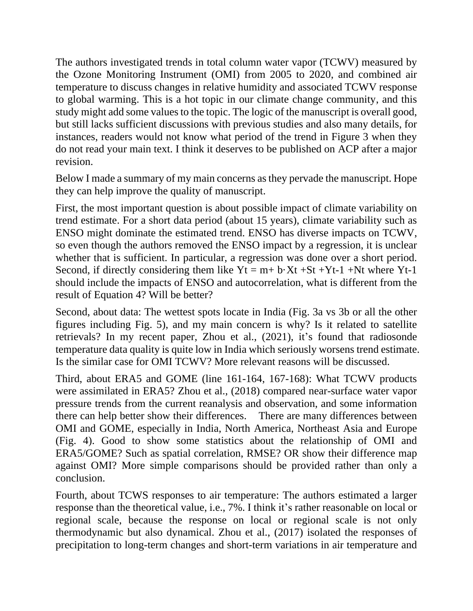The authors investigated trends in total column water vapor (TCWV) measured by the Ozone Monitoring Instrument (OMI) from 2005 to 2020, and combined air temperature to discuss changes in relative humidity and associated TCWV response to global warming. This is a hot topic in our climate change community, and this study might add some values to the topic. The logic of the manuscript is overall good, but still lacks sufficient discussions with previous studies and also many details, for instances, readers would not know what period of the trend in Figure 3 when they do not read your main text. I think it deserves to be published on ACP after a major revision.

Below I made a summary of my main concerns asthey pervade the manuscript. Hope they can help improve the quality of manuscript.

First, the most important question is about possible impact of climate variability on trend estimate. For a short data period (about 15 years), climate variability such as ENSO might dominate the estimated trend. ENSO has diverse impacts on TCWV, so even though the authors removed the ENSO impact by a regression, it is unclear whether that is sufficient. In particular, a regression was done over a short period. Second, if directly considering them like  $Yt = m + b \cdot Xt + St + Yt-1 + Nt$  where  $Yt-1$ should include the impacts of ENSO and autocorrelation, what is different from the result of Equation 4? Will be better?

Second, about data: The wettest spots locate in India (Fig. 3a vs 3b or all the other figures including Fig. 5), and my main concern is why? Is it related to satellite retrievals? In my recent paper, Zhou et al., (2021), it's found that radiosonde temperature data quality is quite low in India which seriously worsens trend estimate. Is the similar case for OMI TCWV? More relevant reasons will be discussed.

Third, about ERA5 and GOME (line 161-164, 167-168): What TCWV products were assimilated in ERA5? Zhou et al., (2018) compared near-surface water vapor pressure trends from the current reanalysis and observation, and some information there can help better show their differences. There are many differences between OMI and GOME, especially in India, North America, Northeast Asia and Europe (Fig. 4). Good to show some statistics about the relationship of OMI and ERA5/GOME? Such as spatial correlation, RMSE? OR show their difference map against OMI? More simple comparisons should be provided rather than only a conclusion.

Fourth, about TCWS responses to air temperature: The authors estimated a larger response than the theoretical value, i.e., 7%. I think it's rather reasonable on local or regional scale, because the response on local or regional scale is not only thermodynamic but also dynamical. Zhou et al., (2017) isolated the responses of precipitation to long-term changes and short-term variations in air temperature and